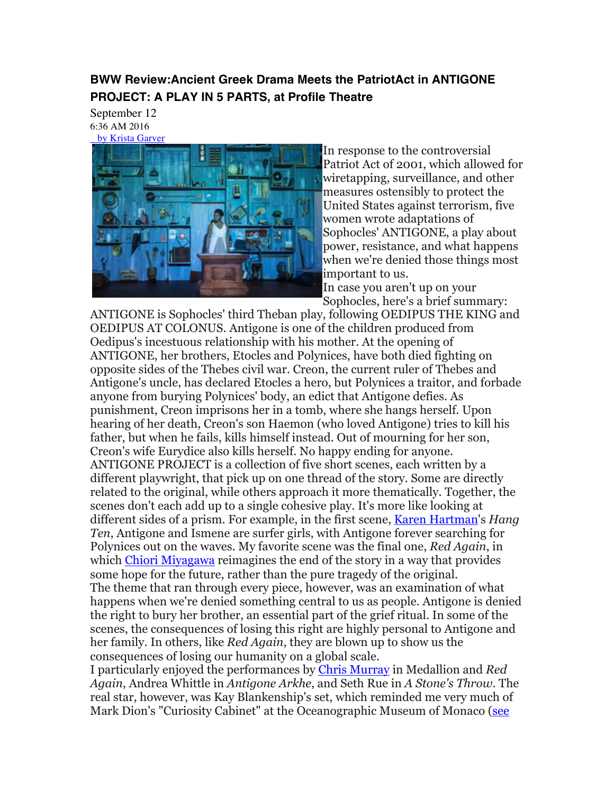## **BWW Review:Ancient Greek Drama Meets the PatriotAct in ANTIGONE PROJECT: A PLAY IN 5 PARTS, at Profile Theatre**

September 12 6:36 AM 2016 by Krista Garver



In response to the controversial Patriot Act of 2001, which allowed for wiretapping, surveillance, and other measures ostensibly to protect the United States against terrorism, five women wrote adaptations of Sophocles' ANTIGONE, a play about power, resistance, and what happens when we're denied those things most important to us.

In case you aren't up on your Sophocles, here's a brief summary:

ANTIGONE is Sophocles' third Theban play, following OEDIPUS THE KING and OEDIPUS AT COLONUS. Antigone is one of the children produced from Oedipus's incestuous relationship with his mother. At the opening of ANTIGONE, her brothers, Etocles and Polynices, have both died fighting on opposite sides of the Thebes civil war. Creon, the current ruler of Thebes and Antigone's uncle, has declared Etocles a hero, but Polynices a traitor, and forbade anyone from burying Polynices' body, an edict that Antigone defies. As punishment, Creon imprisons her in a tomb, where she hangs herself. Upon hearing of her death, Creon's son Haemon (who loved Antigone) tries to kill his father, but when he fails, kills himself instead. Out of mourning for her son, Creon's wife Eurydice also kills herself. No happy ending for anyone. ANTIGONE PROJECT is a collection of five short scenes, each written by a different playwright, that pick up on one thread of the story. Some are directly related to the original, while others approach it more thematically. Together, the scenes don't each add up to a single cohesive play. It's more like looking at different sides of a prism. For example, in the first scene, Karen Hartman's *Hang Ten*, Antigone and Ismene are surfer girls, with Antigone forever searching for Polynices out on the waves. My favorite scene was the final one, *Red Again*, in which Chiori Miyagawa reimagines the end of the story in a way that provides some hope for the future, rather than the pure tragedy of the original. The theme that ran through every piece, however, was an examination of what happens when we're denied something central to us as people. Antigone is denied the right to bury her brother, an essential part of the grief ritual. In some of the scenes, the consequences of losing this right are highly personal to Antigone and her family. In others, like *Red Again*, they are blown up to show us the consequences of losing our humanity on a global scale.

I particularly enjoyed the performances by Chris Murray in Medallion and *Red Again*, Andrea Whittle in *Antigone Arkhe*, and Seth Rue in *A Stone's Throw*. The real star, however, was Kay Blankenship's set, which reminded me very much of Mark Dion's "Curiosity Cabinet" at the Oceanographic Museum of Monaco (see